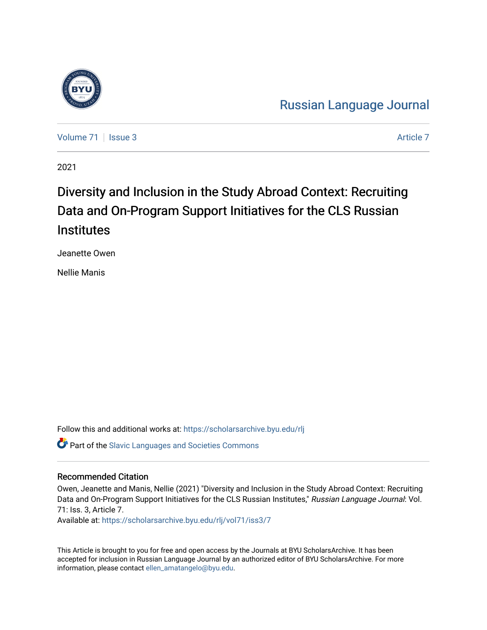

[Russian Language Journal](https://scholarsarchive.byu.edu/rlj) 

[Volume 71](https://scholarsarchive.byu.edu/rlj/vol71) | [Issue 3](https://scholarsarchive.byu.edu/rlj/vol71/iss3) Article 7

2021

# Diversity and Inclusion in the Study Abroad Context: Recruiting Data and On-Program Support Initiatives for the CLS Russian **Institutes**

Jeanette Owen

Nellie Manis

Follow this and additional works at: [https://scholarsarchive.byu.edu/rlj](https://scholarsarchive.byu.edu/rlj?utm_source=scholarsarchive.byu.edu%2Frlj%2Fvol71%2Fiss3%2F7&utm_medium=PDF&utm_campaign=PDFCoverPages) **C** Part of the Slavic Languages and Societies Commons

## Recommended Citation

Owen, Jeanette and Manis, Nellie (2021) "Diversity and Inclusion in the Study Abroad Context: Recruiting Data and On-Program Support Initiatives for the CLS Russian Institutes," Russian Language Journal: Vol. 71: Iss. 3, Article 7.

Available at: [https://scholarsarchive.byu.edu/rlj/vol71/iss3/7](https://scholarsarchive.byu.edu/rlj/vol71/iss3/7?utm_source=scholarsarchive.byu.edu%2Frlj%2Fvol71%2Fiss3%2F7&utm_medium=PDF&utm_campaign=PDFCoverPages) 

This Article is brought to you for free and open access by the Journals at BYU ScholarsArchive. It has been accepted for inclusion in Russian Language Journal by an authorized editor of BYU ScholarsArchive. For more information, please contact [ellen\\_amatangelo@byu.edu.](mailto:ellen_amatangelo@byu.edu)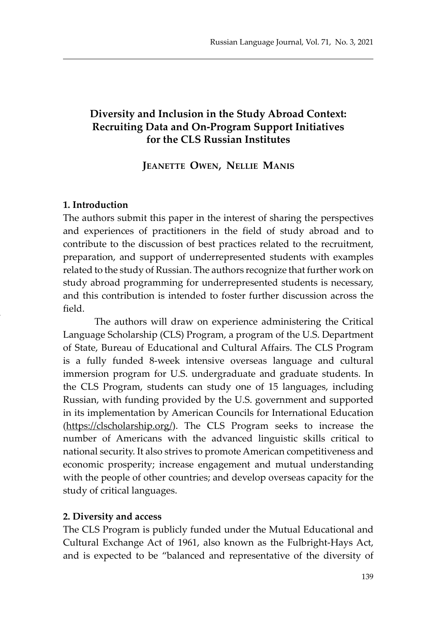# **Diversity and Inclusion in the Study Abroad Context: Recruiting Data and On-Program Support Initiatives for the CLS Russian Institutes**

### **Jeanette Owen, Nellie Manis**

#### **1. Introduction**

The authors submit this paper in the interest of sharing the perspectives and experiences of practitioners in the field of study abroad and to contribute to the discussion of best practices related to the recruitment, preparation, and support of underrepresented students with examples related to the study of Russian. The authors recognize that further work on study abroad programming for underrepresented students is necessary, and this contribution is intended to foster further discussion across the field.

The authors will draw on experience administering the Critical Language Scholarship (CLS) Program, a program of the U.S. Department of State, Bureau of Educational and Cultural Affairs. The CLS Program is a fully funded 8-week intensive overseas language and cultural immersion program for U.S. undergraduate and graduate students. In the CLS Program, students can study one of 15 languages, including Russian, with funding provided by the U.S. government and supported in its implementation by American Councils for International Education (https://clscholarship.org/). The CLS Program seeks to increase the number of Americans with the advanced linguistic skills critical to national security. It also strives to promote American competitiveness and economic prosperity; increase engagement and mutual understanding with the people of other countries; and develop overseas capacity for the study of critical languages.

#### **2. Diversity and access**

The CLS Program is publicly funded under the Mutual Educational and Cultural Exchange Act of 1961, also known as the Fulbright-Hays Act, and is expected to be "balanced and representative of the diversity of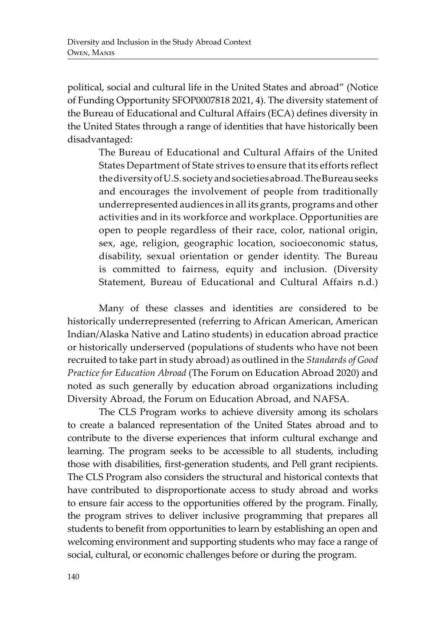political, social and cultural life in the United States and abroad" (Notice of Funding Opportunity SFOP0007818 2021, 4). The diversity statement of the Bureau of Educational and Cultural Affairs (ECA) defines diversity in the United States through a range of identities that have historically been disadvantaged:

The Bureau of Educational and Cultural Affairs of the United States Department of State strives to ensure that its efforts reflect the diversity of U.S. society and societies abroad. The Bureau seeks and encourages the involvement of people from traditionally underrepresented audiences in all its grants, programs and other activities and in its workforce and workplace. Opportunities are open to people regardless of their race, color, national origin, sex, age, religion, geographic location, socioeconomic status, disability, sexual orientation or gender identity. The Bureau is committed to fairness, equity and inclusion. (Diversity Statement, Bureau of Educational and Cultural Affairs n.d.)

Many of these classes and identities are considered to be historically underrepresented (referring to African American, American Indian/Alaska Native and Latino students) in education abroad practice or historically underserved (populations of students who have not been recruited to take part in study abroad) as outlined in the *Standards of Good Practice for Education Abroad* (The Forum on Education Abroad 2020) and noted as such generally by education abroad organizations including Diversity Abroad, the Forum on Education Abroad, and NAFSA.

The CLS Program works to achieve diversity among its scholars to create a balanced representation of the United States abroad and to contribute to the diverse experiences that inform cultural exchange and learning. The program seeks to be accessible to all students, including those with disabilities, first-generation students, and Pell grant recipients. The CLS Program also considers the structural and historical contexts that have contributed to disproportionate access to study abroad and works to ensure fair access to the opportunities offered by the program. Finally, the program strives to deliver inclusive programming that prepares all students to benefit from opportunities to learn by establishing an open and welcoming environment and supporting students who may face a range of social, cultural, or economic challenges before or during the program.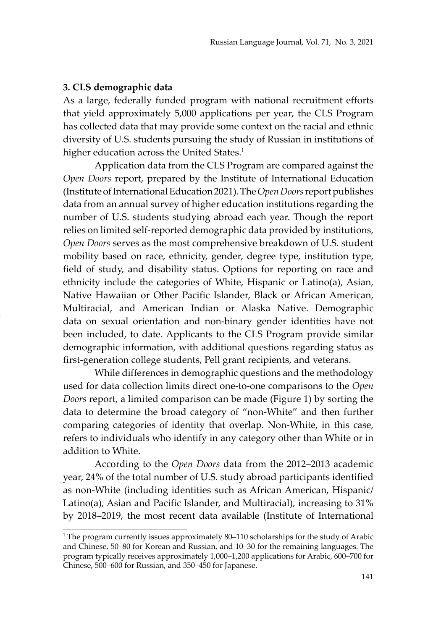#### **3. CLS demographic data**

As a large, federally funded program with national recruitment efforts that yield approximately 5,000 applications per year, the CLS Program has collected data that may provide some context on the racial and ethnic diversity of U.S. students pursuing the study of Russian in institutions of higher education across the United States.<sup>1</sup>

Application data from the CLS Program are compared against the *Open Doors* report, prepared by the Institute of International Education (Institute of International Education 2021). The *Open Doors* report publishes data from an annual survey of higher education institutions regarding the number of U.S. students studying abroad each year. Though the report relies on limited self-reported demographic data provided by institutions, *Open Doors* serves as the most comprehensive breakdown of U.S. student mobility based on race, ethnicity, gender, degree type, institution type, field of study, and disability status. Options for reporting on race and ethnicity include the categories of White, Hispanic or Latino(a), Asian, Native Hawaiian or Other Pacific Islander, Black or African American, Multiracial, and American Indian or Alaska Native. Demographic data on sexual orientation and non-binary gender identities have not been included, to date. Applicants to the CLS Program provide similar demographic information, with additional questions regarding status as first-generation college students, Pell grant recipients, and veterans.

While differences in demographic questions and the methodology used for data collection limits direct one-to-one comparisons to the *Open Doors* report, a limited comparison can be made (Figure 1) by sorting the data to determine the broad category of "non-White" and then further comparing categories of identity that overlap. Non-White, in this case, refers to individuals who identify in any category other than White or in addition to White.

According to the *Open Doors* data from the 2012–2013 academic year, 24% of the total number of U.S. study abroad participants identified as non-White (including identities such as African American, Hispanic/ Latino(a), Asian and Pacific Islander, and Multiracial), increasing to 31% by 2018–2019, the most recent data available (Institute of International

<sup>&</sup>lt;sup>1</sup> The program currently issues approximately 80–110 scholarships for the study of Arabic and Chinese, 50–80 for Korean and Russian, and 10–30 for the remaining languages. The program typically receives approximately 1,000–1,200 applications for Arabic, 600–700 for Chinese, 500–600 for Russian, and 350–450 for Japanese.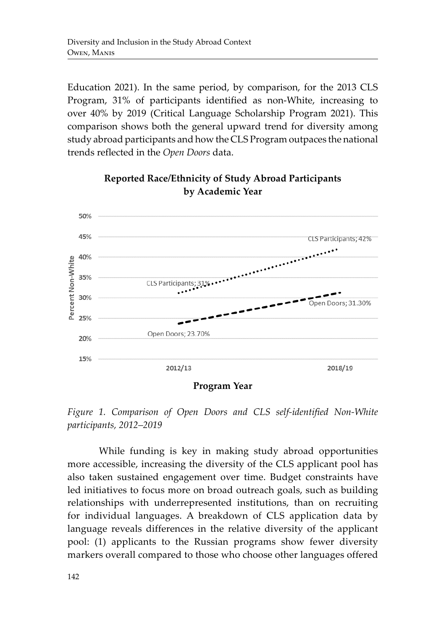Education 2021). In the same period, by comparison, for the 2013 CLS Program, 31% of participants identified as non-White, increasing to over 40% by 2019 (Critical Language Scholarship Program 2021). This comparison shows both the general upward trend for diversity among study abroad participants and how the CLS Program outpaces the national trends reflected in the *Open Doors* data.



**Reported Race/Ethnicity of Study Abroad Participants by Academic Year**

**Program Year**

*Figure 1. Comparison of Open Doors and CLS self-identified Non-White participants, 2012–2019*

While funding is key in making study abroad opportunities more accessible, increasing the diversity of the CLS applicant pool has also taken sustained engagement over time. Budget constraints have led initiatives to focus more on broad outreach goals, such as building relationships with underrepresented institutions, than on recruiting for individual languages. A breakdown of CLS application data by language reveals differences in the relative diversity of the applicant pool: (1) applicants to the Russian programs show fewer diversity markers overall compared to those who choose other languages offered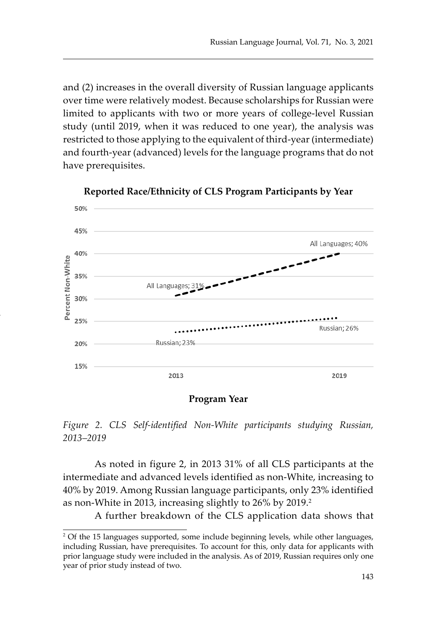and (2) increases in the overall diversity of Russian language applicants over time were relatively modest. Because scholarships for Russian were limited to applicants with two or more years of college-level Russian study (until 2019, when it was reduced to one year), the analysis was restricted to those applying to the equivalent of third-year (intermediate) and fourth-year (advanced) levels for the language programs that do not have prerequisites.



**Reported Race/Ethnicity of CLS Program Participants by Year**

**Program Year**

*Figure 2. CLS Self-identified Non-White participants studying Russian, 2013–2019*

As noted in figure 2, in 2013 31% of all CLS participants at the intermediate and advanced levels identified as non-White, increasing to 40% by 2019. Among Russian language participants, only 23% identified as non-White in 2013, increasing slightly to 26% by 2019.<sup>2</sup>

A further breakdown of the CLS application data shows that

<sup>2</sup> Of the 15 languages supported, some include beginning levels, while other languages, including Russian, have prerequisites. To account for this, only data for applicants with prior language study were included in the analysis. As of 2019, Russian requires only one year of prior study instead of two.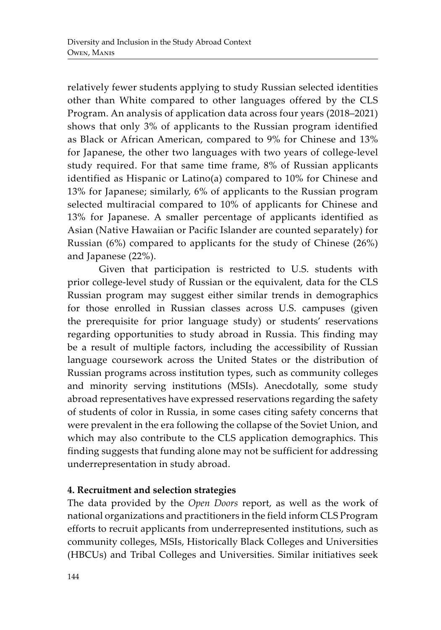relatively fewer students applying to study Russian selected identities other than White compared to other languages offered by the CLS Program. An analysis of application data across four years (2018–2021) shows that only 3% of applicants to the Russian program identified as Black or African American, compared to 9% for Chinese and 13% for Japanese, the other two languages with two years of college-level study required. For that same time frame, 8% of Russian applicants identified as Hispanic or Latino(a) compared to 10% for Chinese and 13% for Japanese; similarly, 6% of applicants to the Russian program selected multiracial compared to 10% of applicants for Chinese and 13% for Japanese. A smaller percentage of applicants identified as Asian (Native Hawaiian or Pacific Islander are counted separately) for Russian (6%) compared to applicants for the study of Chinese (26%) and Japanese (22%).

Given that participation is restricted to U.S. students with prior college-level study of Russian or the equivalent, data for the CLS Russian program may suggest either similar trends in demographics for those enrolled in Russian classes across U.S. campuses (given the prerequisite for prior language study) or students' reservations regarding opportunities to study abroad in Russia. This finding may be a result of multiple factors, including the accessibility of Russian language coursework across the United States or the distribution of Russian programs across institution types, such as community colleges and minority serving institutions (MSIs). Anecdotally, some study abroad representatives have expressed reservations regarding the safety of students of color in Russia, in some cases citing safety concerns that were prevalent in the era following the collapse of the Soviet Union, and which may also contribute to the CLS application demographics. This finding suggests that funding alone may not be sufficient for addressing underrepresentation in study abroad.

# **4. Recruitment and selection strategies**

The data provided by the *Open Doors* report, as well as the work of national organizations and practitioners in the field inform CLS Program efforts to recruit applicants from underrepresented institutions, such as community colleges, MSIs, Historically Black Colleges and Universities (HBCUs) and Tribal Colleges and Universities. Similar initiatives seek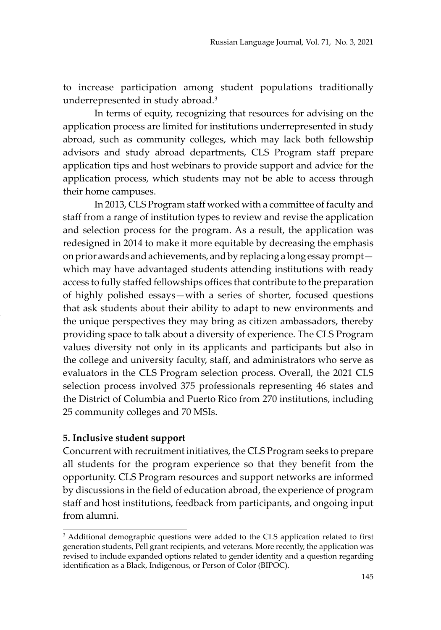to increase participation among student populations traditionally underrepresented in study abroad.<sup>3</sup>

In terms of equity, recognizing that resources for advising on the application process are limited for institutions underrepresented in study abroad, such as community colleges, which may lack both fellowship advisors and study abroad departments, CLS Program staff prepare application tips and host webinars to provide support and advice for the application process, which students may not be able to access through their home campuses.

In 2013, CLS Program staff worked with a committee of faculty and staff from a range of institution types to review and revise the application and selection process for the program. As a result, the application was redesigned in 2014 to make it more equitable by decreasing the emphasis on prior awards and achievements, and by replacing a long essay prompt which may have advantaged students attending institutions with ready access to fully staffed fellowships offices that contribute to the preparation of highly polished essays—with a series of shorter, focused questions that ask students about their ability to adapt to new environments and the unique perspectives they may bring as citizen ambassadors, thereby providing space to talk about a diversity of experience. The CLS Program values diversity not only in its applicants and participants but also in the college and university faculty, staff, and administrators who serve as evaluators in the CLS Program selection process. Overall, the 2021 CLS selection process involved 375 professionals representing 46 states and the District of Columbia and Puerto Rico from 270 institutions, including 25 community colleges and 70 MSIs.

### **5. Inclusive student support**

Concurrent with recruitment initiatives, the CLS Program seeks to prepare all students for the program experience so that they benefit from the opportunity. CLS Program resources and support networks are informed by discussions in the field of education abroad, the experience of program staff and host institutions, feedback from participants, and ongoing input from alumni.

<sup>&</sup>lt;sup>3</sup> Additional demographic questions were added to the CLS application related to first generation students, Pell grant recipients, and veterans. More recently, the application was revised to include expanded options related to gender identity and a question regarding identification as a Black, Indigenous, or Person of Color (BIPOC).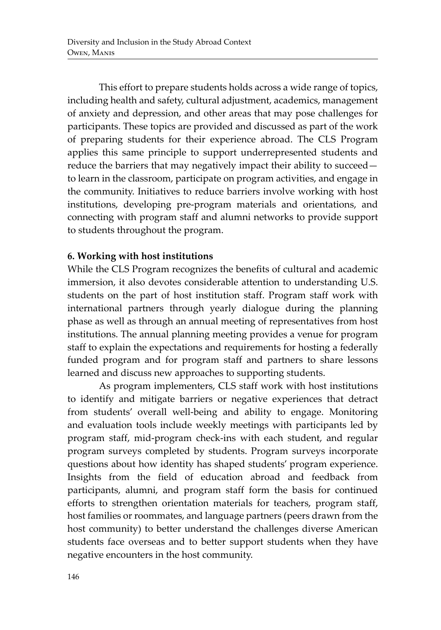This effort to prepare students holds across a wide range of topics, including health and safety, cultural adjustment, academics, management of anxiety and depression, and other areas that may pose challenges for participants. These topics are provided and discussed as part of the work of preparing students for their experience abroad. The CLS Program applies this same principle to support underrepresented students and reduce the barriers that may negatively impact their ability to succeed to learn in the classroom, participate on program activities, and engage in the community. Initiatives to reduce barriers involve working with host institutions, developing pre-program materials and orientations, and connecting with program staff and alumni networks to provide support to students throughout the program.

## **6. Working with host institutions**

While the CLS Program recognizes the benefits of cultural and academic immersion, it also devotes considerable attention to understanding U.S. students on the part of host institution staff. Program staff work with international partners through yearly dialogue during the planning phase as well as through an annual meeting of representatives from host institutions. The annual planning meeting provides a venue for program staff to explain the expectations and requirements for hosting a federally funded program and for program staff and partners to share lessons learned and discuss new approaches to supporting students.

As program implementers, CLS staff work with host institutions to identify and mitigate barriers or negative experiences that detract from students' overall well-being and ability to engage. Monitoring and evaluation tools include weekly meetings with participants led by program staff, mid-program check-ins with each student, and regular program surveys completed by students. Program surveys incorporate questions about how identity has shaped students' program experience. Insights from the field of education abroad and feedback from participants, alumni, and program staff form the basis for continued efforts to strengthen orientation materials for teachers, program staff, host families or roommates, and language partners (peers drawn from the host community) to better understand the challenges diverse American students face overseas and to better support students when they have negative encounters in the host community.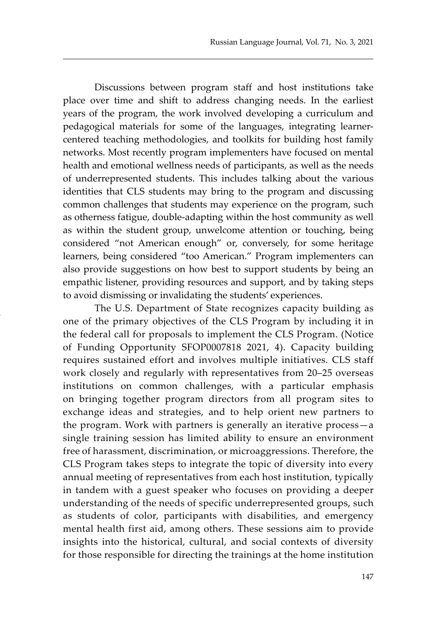Discussions between program staff and host institutions take place over time and shift to address changing needs. In the earliest years of the program, the work involved developing a curriculum and pedagogical materials for some of the languages, integrating learnercentered teaching methodologies, and toolkits for building host family networks. Most recently program implementers have focused on mental health and emotional wellness needs of participants, as well as the needs of underrepresented students. This includes talking about the various identities that CLS students may bring to the program and discussing common challenges that students may experience on the program, such as otherness fatigue, double-adapting within the host community as well as within the student group, unwelcome attention or touching, being considered "not American enough" or, conversely, for some heritage learners, being considered "too American." Program implementers can also provide suggestions on how best to support students by being an empathic listener, providing resources and support, and by taking steps to avoid dismissing or invalidating the students' experiences.

The U.S. Department of State recognizes capacity building as one of the primary objectives of the CLS Program by including it in the federal call for proposals to implement the CLS Program. (Notice of Funding Opportunity SFOP0007818 2021, 4). Capacity building requires sustained effort and involves multiple initiatives. CLS staff work closely and regularly with representatives from 20–25 overseas institutions on common challenges, with a particular emphasis on bringing together program directors from all program sites to exchange ideas and strategies, and to help orient new partners to the program. Work with partners is generally an iterative process—a single training session has limited ability to ensure an environment free of harassment, discrimination, or microaggressions. Therefore, the CLS Program takes steps to integrate the topic of diversity into every annual meeting of representatives from each host institution, typically in tandem with a guest speaker who focuses on providing a deeper understanding of the needs of specific underrepresented groups, such as students of color, participants with disabilities, and emergency mental health first aid, among others. These sessions aim to provide insights into the historical, cultural, and social contexts of diversity for those responsible for directing the trainings at the home institution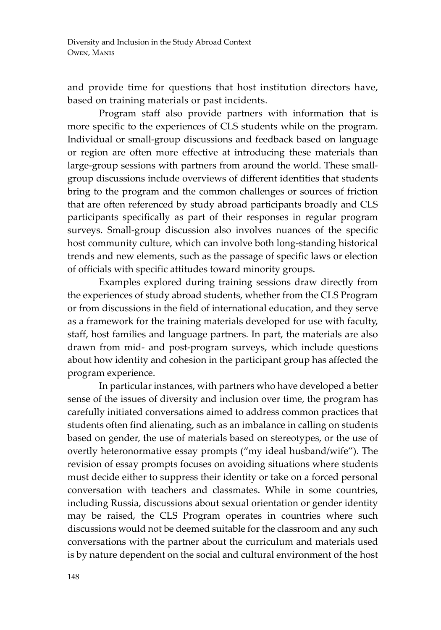and provide time for questions that host institution directors have, based on training materials or past incidents.

Program staff also provide partners with information that is more specific to the experiences of CLS students while on the program. Individual or small-group discussions and feedback based on language or region are often more effective at introducing these materials than large-group sessions with partners from around the world. These smallgroup discussions include overviews of different identities that students bring to the program and the common challenges or sources of friction that are often referenced by study abroad participants broadly and CLS participants specifically as part of their responses in regular program surveys. Small-group discussion also involves nuances of the specific host community culture, which can involve both long-standing historical trends and new elements, such as the passage of specific laws or election of officials with specific attitudes toward minority groups.

Examples explored during training sessions draw directly from the experiences of study abroad students, whether from the CLS Program or from discussions in the field of international education, and they serve as a framework for the training materials developed for use with faculty, staff, host families and language partners. In part, the materials are also drawn from mid- and post-program surveys, which include questions about how identity and cohesion in the participant group has affected the program experience.

In particular instances, with partners who have developed a better sense of the issues of diversity and inclusion over time, the program has carefully initiated conversations aimed to address common practices that students often find alienating, such as an imbalance in calling on students based on gender, the use of materials based on stereotypes, or the use of overtly heteronormative essay prompts ("my ideal husband/wife"). The revision of essay prompts focuses on avoiding situations where students must decide either to suppress their identity or take on a forced personal conversation with teachers and classmates. While in some countries, including Russia, discussions about sexual orientation or gender identity may be raised, the CLS Program operates in countries where such discussions would not be deemed suitable for the classroom and any such conversations with the partner about the curriculum and materials used is by nature dependent on the social and cultural environment of the host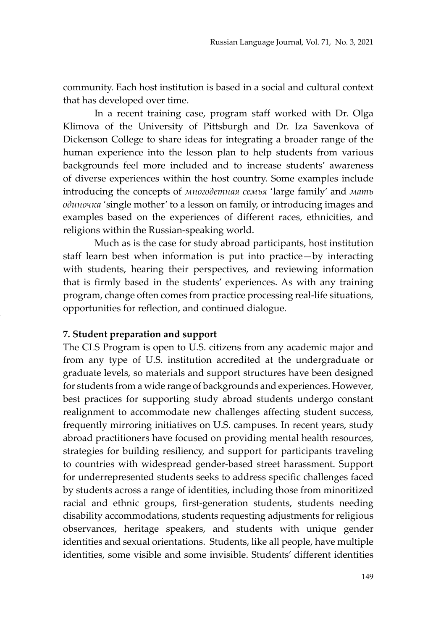community. Each host institution is based in a social and cultural context that has developed over time.

In a recent training case, program staff worked with Dr. Olga Klimova of the University of Pittsburgh and Dr. Iza Savenkova of Dickenson College to share ideas for integrating a broader range of the human experience into the lesson plan to help students from various backgrounds feel more included and to increase students' awareness of diverse experiences within the host country. Some examples include introducing the concepts of *многодетная семья* 'large family' and *мать одиночка* 'single mother' to a lesson on family, or introducing images and examples based on the experiences of different races, ethnicities, and religions within the Russian-speaking world.

Much as is the case for study abroad participants, host institution staff learn best when information is put into practice—by interacting with students, hearing their perspectives, and reviewing information that is firmly based in the students' experiences. As with any training program, change often comes from practice processing real-life situations, opportunities for reflection, and continued dialogue.

#### **7. Student preparation and support**

The CLS Program is open to U.S. citizens from any academic major and from any type of U.S. institution accredited at the undergraduate or graduate levels, so materials and support structures have been designed for students from a wide range of backgrounds and experiences. However, best practices for supporting study abroad students undergo constant realignment to accommodate new challenges affecting student success, frequently mirroring initiatives on U.S. campuses. In recent years, study abroad practitioners have focused on providing mental health resources, strategies for building resiliency, and support for participants traveling to countries with widespread gender-based street harassment. Support for underrepresented students seeks to address specific challenges faced by students across a range of identities, including those from minoritized racial and ethnic groups, first-generation students, students needing disability accommodations, students requesting adjustments for religious observances, heritage speakers, and students with unique gender identities and sexual orientations. Students, like all people, have multiple identities, some visible and some invisible. Students' different identities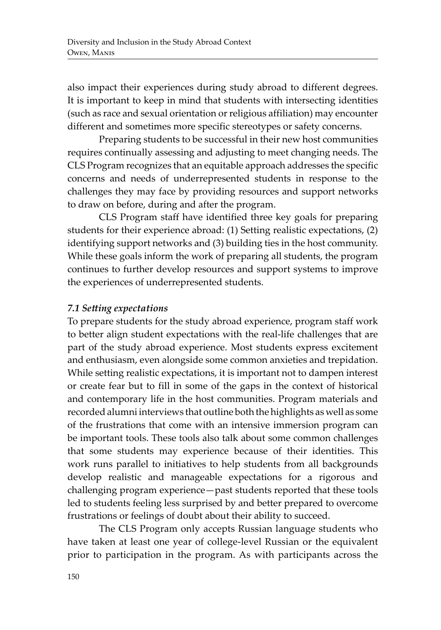also impact their experiences during study abroad to different degrees. It is important to keep in mind that students with intersecting identities (such as race and sexual orientation or religious affiliation) may encounter different and sometimes more specific stereotypes or safety concerns.

Preparing students to be successful in their new host communities requires continually assessing and adjusting to meet changing needs. The CLS Program recognizes that an equitable approach addresses the specific concerns and needs of underrepresented students in response to the challenges they may face by providing resources and support networks to draw on before, during and after the program.

CLS Program staff have identified three key goals for preparing students for their experience abroad: (1) Setting realistic expectations, (2) identifying support networks and (3) building ties in the host community. While these goals inform the work of preparing all students, the program continues to further develop resources and support systems to improve the experiences of underrepresented students.

## *7.1 Setting expectations*

To prepare students for the study abroad experience, program staff work to better align student expectations with the real-life challenges that are part of the study abroad experience. Most students express excitement and enthusiasm, even alongside some common anxieties and trepidation. While setting realistic expectations, it is important not to dampen interest or create fear but to fill in some of the gaps in the context of historical and contemporary life in the host communities. Program materials and recorded alumni interviews that outline both the highlights as well as some of the frustrations that come with an intensive immersion program can be important tools. These tools also talk about some common challenges that some students may experience because of their identities. This work runs parallel to initiatives to help students from all backgrounds develop realistic and manageable expectations for a rigorous and challenging program experience—past students reported that these tools led to students feeling less surprised by and better prepared to overcome frustrations or feelings of doubt about their ability to succeed.

The CLS Program only accepts Russian language students who have taken at least one year of college-level Russian or the equivalent prior to participation in the program. As with participants across the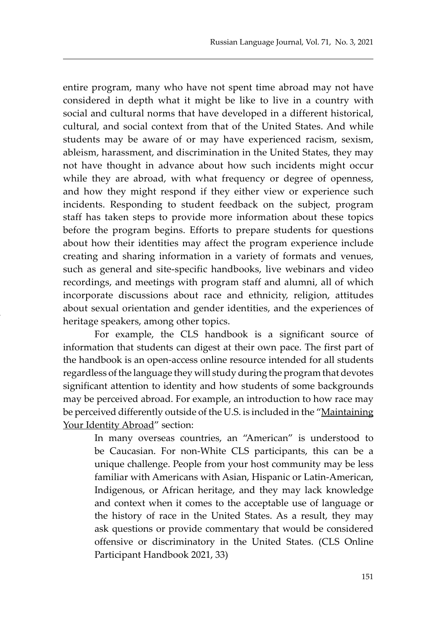entire program, many who have not spent time abroad may not have considered in depth what it might be like to live in a country with social and cultural norms that have developed in a different historical, cultural, and social context from that of the United States. And while students may be aware of or may have experienced racism, sexism, ableism, harassment, and discrimination in the United States, they may not have thought in advance about how such incidents might occur while they are abroad, with what frequency or degree of openness, and how they might respond if they either view or experience such incidents. Responding to student feedback on the subject, program staff has taken steps to provide more information about these topics before the program begins. Efforts to prepare students for questions about how their identities may affect the program experience include creating and sharing information in a variety of formats and venues, such as general and site-specific handbooks, live webinars and video recordings, and meetings with program staff and alumni, all of which incorporate discussions about race and ethnicity, religion, attitudes about sexual orientation and gender identities, and the experiences of heritage speakers, among other topics.

For example, the CLS handbook is a significant source of information that students can digest at their own pace. The first part of the handbook is an open-access online resource intended for all students regardless of the language they will study during the program that devotes significant attention to identity and how students of some backgrounds may be perceived abroad. For example, an introduction to how race may be perceived differently outside of the U.S. is included in the "Maintaining Your Identity Abroad" section:

> In many overseas countries, an "American" is understood to be Caucasian. For non-White CLS participants, this can be a unique challenge. People from your host community may be less familiar with Americans with Asian, Hispanic or Latin-American, Indigenous, or African heritage, and they may lack knowledge and context when it comes to the acceptable use of language or the history of race in the United States. As a result, they may ask questions or provide commentary that would be considered offensive or discriminatory in the United States. (CLS Online Participant Handbook 2021, 33)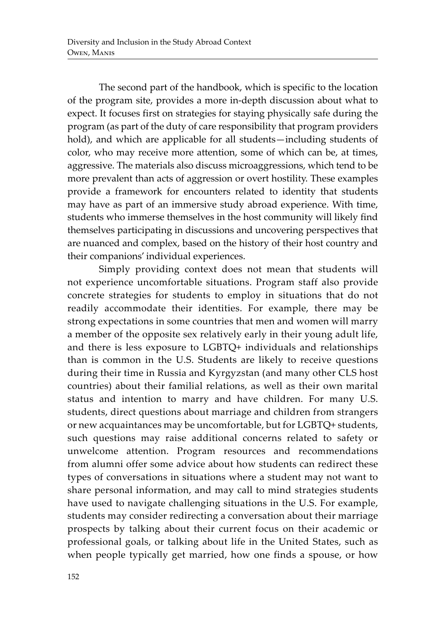The second part of the handbook, which is specific to the location of the program site, provides a more in-depth discussion about what to expect. It focuses first on strategies for staying physically safe during the program (as part of the duty of care responsibility that program providers hold), and which are applicable for all students—including students of color, who may receive more attention, some of which can be, at times, aggressive. The materials also discuss microaggressions, which tend to be more prevalent than acts of aggression or overt hostility. These examples provide a framework for encounters related to identity that students may have as part of an immersive study abroad experience. With time, students who immerse themselves in the host community will likely find themselves participating in discussions and uncovering perspectives that are nuanced and complex, based on the history of their host country and their companions' individual experiences.

Simply providing context does not mean that students will not experience uncomfortable situations. Program staff also provide concrete strategies for students to employ in situations that do not readily accommodate their identities. For example, there may be strong expectations in some countries that men and women will marry a member of the opposite sex relatively early in their young adult life, and there is less exposure to LGBTQ+ individuals and relationships than is common in the U.S. Students are likely to receive questions during their time in Russia and Kyrgyzstan (and many other CLS host countries) about their familial relations, as well as their own marital status and intention to marry and have children. For many U.S. students, direct questions about marriage and children from strangers or new acquaintances may be uncomfortable, but for LGBTQ+ students, such questions may raise additional concerns related to safety or unwelcome attention. Program resources and recommendations from alumni offer some advice about how students can redirect these types of conversations in situations where a student may not want to share personal information, and may call to mind strategies students have used to navigate challenging situations in the U.S. For example, students may consider redirecting a conversation about their marriage prospects by talking about their current focus on their academic or professional goals, or talking about life in the United States, such as when people typically get married, how one finds a spouse, or how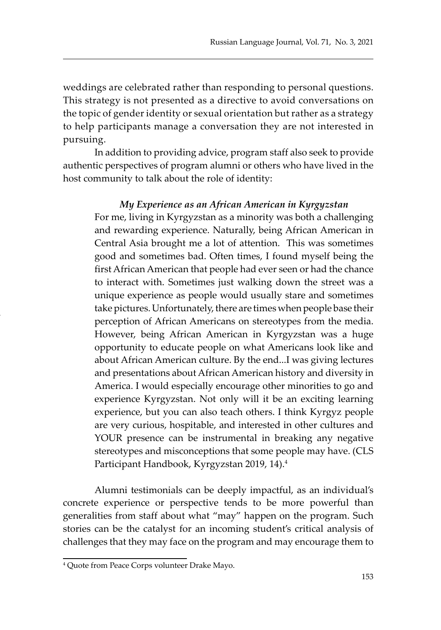weddings are celebrated rather than responding to personal questions. This strategy is not presented as a directive to avoid conversations on the topic of gender identity or sexual orientation but rather as a strategy to help participants manage a conversation they are not interested in pursuing.

In addition to providing advice, program staff also seek to provide authentic perspectives of program alumni or others who have lived in the host community to talk about the role of identity:

#### *My Experience as an African American in Kyrgyzstan*

For me, living in Kyrgyzstan as a minority was both a challenging and rewarding experience. Naturally, being African American in Central Asia brought me a lot of attention. This was sometimes good and sometimes bad. Often times, I found myself being the first African American that people had ever seen or had the chance to interact with. Sometimes just walking down the street was a unique experience as people would usually stare and sometimes take pictures. Unfortunately, there are times when people base their perception of African Americans on stereotypes from the media. However, being African American in Kyrgyzstan was a huge opportunity to educate people on what Americans look like and about African American culture. By the end...I was giving lectures and presentations about African American history and diversity in America. I would especially encourage other minorities to go and experience Kyrgyzstan. Not only will it be an exciting learning experience, but you can also teach others. I think Kyrgyz people are very curious, hospitable, and interested in other cultures and YOUR presence can be instrumental in breaking any negative stereotypes and misconceptions that some people may have. (CLS Participant Handbook, Kyrgyzstan 2019, 14).4

Alumni testimonials can be deeply impactful, as an individual's concrete experience or perspective tends to be more powerful than generalities from staff about what "may" happen on the program. Such stories can be the catalyst for an incoming student's critical analysis of challenges that they may face on the program and may encourage them to

<sup>4</sup> Quote from Peace Corps volunteer Drake Mayo.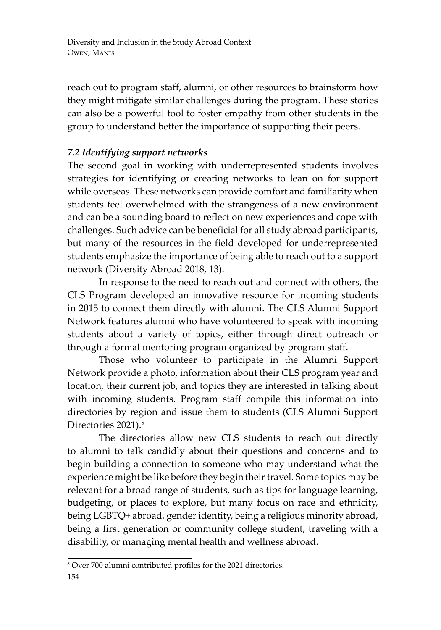reach out to program staff, alumni, or other resources to brainstorm how they might mitigate similar challenges during the program. These stories can also be a powerful tool to foster empathy from other students in the group to understand better the importance of supporting their peers.

# *7.2 Identifying support networks*

The second goal in working with underrepresented students involves strategies for identifying or creating networks to lean on for support while overseas. These networks can provide comfort and familiarity when students feel overwhelmed with the strangeness of a new environment and can be a sounding board to reflect on new experiences and cope with challenges. Such advice can be beneficial for all study abroad participants, but many of the resources in the field developed for underrepresented students emphasize the importance of being able to reach out to a support network (Diversity Abroad 2018, 13).

In response to the need to reach out and connect with others, the CLS Program developed an innovative resource for incoming students in 2015 to connect them directly with alumni. The CLS Alumni Support Network features alumni who have volunteered to speak with incoming students about a variety of topics, either through direct outreach or through a formal mentoring program organized by program staff.

Those who volunteer to participate in the Alumni Support Network provide a photo, information about their CLS program year and location, their current job, and topics they are interested in talking about with incoming students. Program staff compile this information into directories by region and issue them to students (CLS Alumni Support Directories 2021).<sup>5</sup>

The directories allow new CLS students to reach out directly to alumni to talk candidly about their questions and concerns and to begin building a connection to someone who may understand what the experience might be like before they begin their travel. Some topics may be relevant for a broad range of students, such as tips for language learning, budgeting, or places to explore, but many focus on race and ethnicity, being LGBTQ+ abroad, gender identity, being a religious minority abroad, being a first generation or community college student, traveling with a disability, or managing mental health and wellness abroad.

<sup>5</sup> Over 700 alumni contributed profiles for the 2021 directories.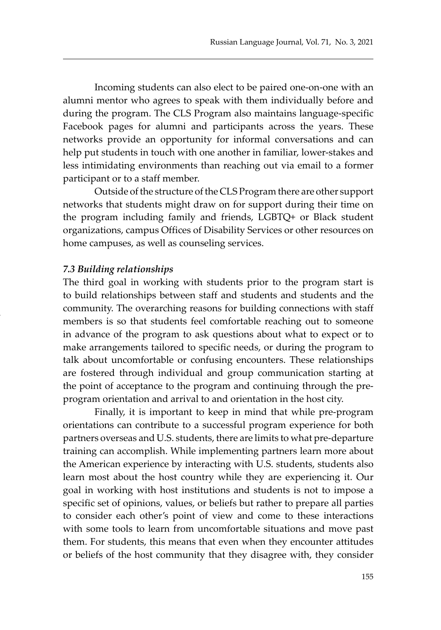Incoming students can also elect to be paired one-on-one with an alumni mentor who agrees to speak with them individually before and during the program. The CLS Program also maintains language-specific Facebook pages for alumni and participants across the years. These networks provide an opportunity for informal conversations and can help put students in touch with one another in familiar, lower-stakes and less intimidating environments than reaching out via email to a former participant or to a staff member.

Outside of the structure of the CLS Program there are other support networks that students might draw on for support during their time on the program including family and friends, LGBTQ+ or Black student organizations, campus Offices of Disability Services or other resources on home campuses, as well as counseling services.

#### *7.3 Building relationships*

The third goal in working with students prior to the program start is to build relationships between staff and students and students and the community. The overarching reasons for building connections with staff members is so that students feel comfortable reaching out to someone in advance of the program to ask questions about what to expect or to make arrangements tailored to specific needs, or during the program to talk about uncomfortable or confusing encounters. These relationships are fostered through individual and group communication starting at the point of acceptance to the program and continuing through the preprogram orientation and arrival to and orientation in the host city.

Finally, it is important to keep in mind that while pre-program orientations can contribute to a successful program experience for both partners overseas and U.S. students, there are limits to what pre-departure training can accomplish. While implementing partners learn more about the American experience by interacting with U.S. students, students also learn most about the host country while they are experiencing it. Our goal in working with host institutions and students is not to impose a specific set of opinions, values, or beliefs but rather to prepare all parties to consider each other's point of view and come to these interactions with some tools to learn from uncomfortable situations and move past them. For students, this means that even when they encounter attitudes or beliefs of the host community that they disagree with, they consider